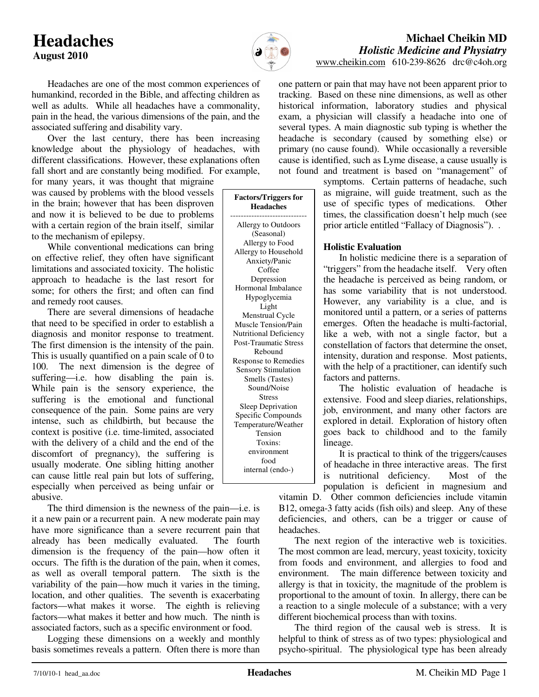# **Headaches August 2010**



**Factors/Triggers for Headaches**  ----------------------------- Allergy to Outdoors (Seasonal) Allergy to Food Allergy to Household Anxiety/Panic Coffee Depression Hormonal Imbalance Hypoglycemia Light Menstrual Cycle Muscle Tension/Pain Nutritional Deficiency Post-Traumatic Stress Rebound Response to Remedies Sensory Stimulation Smells (Tastes) Sound/Noise Stress Sleep Deprivation Specific Compounds Temperature/Weather Tension Toxins: environment food internal (endo-)

# **Michael Cheikin MD** *Holistic Medicine and Physiatry*

www.cheikin.com 610-239-8626 drc@c4oh.org

 Headaches are one of the most common experiences of humankind, recorded in the Bible, and affecting children as well as adults. While all headaches have a commonality, pain in the head, the various dimensions of the pain, and the associated suffering and disability vary.

 Over the last century, there has been increasing knowledge about the physiology of headaches, with different classifications. However, these explanations often fall short and are constantly being modified. For example,

for many years, it was thought that migraine was caused by problems with the blood vessels in the brain; however that has been disproven and now it is believed to be due to problems with a certain region of the brain itself, similar to the mechanism of epilepsy.

 While conventional medications can bring on effective relief, they often have significant limitations and associated toxicity. The holistic approach to headache is the last resort for some; for others the first; and often can find and remedy root causes.

 There are several dimensions of headache that need to be specified in order to establish a diagnosis and monitor response to treatment. The first dimension is the intensity of the pain. This is usually quantified on a pain scale of 0 to 100. The next dimension is the degree of suffering—i.e. how disabling the pain is. While pain is the sensory experience, the suffering is the emotional and functional consequence of the pain. Some pains are very intense, such as childbirth, but because the context is positive (i.e. time-limited, associated with the delivery of a child and the end of the discomfort of pregnancy), the suffering is usually moderate. One sibling hitting another can cause little real pain but lots of suffering, especially when perceived as being unfair or abusive.

 The third dimension is the newness of the pain—i.e. is it a new pain or a recurrent pain. A new moderate pain may have more significance than a severe recurrent pain that already has been medically evaluated. The fourth dimension is the frequency of the pain—how often it occurs. The fifth is the duration of the pain, when it comes, as well as overall temporal pattern. The sixth is the variability of the pain—how much it varies in the timing, location, and other qualities. The seventh is exacerbating factors—what makes it worse. The eighth is relieving factors—what makes it better and how much. The ninth is associated factors, such as a specific environment or food.

 Logging these dimensions on a weekly and monthly basis sometimes reveals a pattern. Often there is more than one pattern or pain that may have not been apparent prior to tracking. Based on these nine dimensions, as well as other historical information, laboratory studies and physical exam, a physician will classify a headache into one of several types. A main diagnostic sub typing is whether the headache is secondary (caused by something else) or primary (no cause found). While occasionally a reversible cause is identified, such as Lyme disease, a cause usually is not found and treatment is based on "management" of

symptoms. Certain patterns of headache, such as migraine, will guide treatment, such as the use of specific types of medications. Other times, the classification doesn't help much (see prior article entitled "Fallacy of Diagnosis"). .

## **Holistic Evaluation**

 In holistic medicine there is a separation of "triggers" from the headache itself. Very often the headache is perceived as being random, or has some variability that is not understood. However, any variability is a clue, and is monitored until a pattern, or a series of patterns emerges. Often the headache is multi-factorial, like a web, with not a single factor, but a constellation of factors that determine the onset, intensity, duration and response. Most patients, with the help of a practitioner, can identify such factors and patterns.

 The holistic evaluation of headache is extensive. Food and sleep diaries, relationships, job, environment, and many other factors are explored in detail. Exploration of history often goes back to childhood and to the family lineage.

 It is practical to think of the triggers/causes of headache in three interactive areas. The first is nutritional deficiency. Most of the population is deficient in magnesium and

vitamin D. Other common deficiencies include vitamin B12, omega-3 fatty acids (fish oils) and sleep. Any of these deficiencies, and others, can be a trigger or cause of headaches.

 The next region of the interactive web is toxicities. The most common are lead, mercury, yeast toxicity, toxicity from foods and environment, and allergies to food and environment. The main difference between toxicity and allergy is that in toxicity, the magnitude of the problem is proportional to the amount of toxin. In allergy, there can be a reaction to a single molecule of a substance; with a very different biochemical process than with toxins.

 The third region of the causal web is stress. It is helpful to think of stress as of two types: physiological and psycho-spiritual. The physiological type has been already